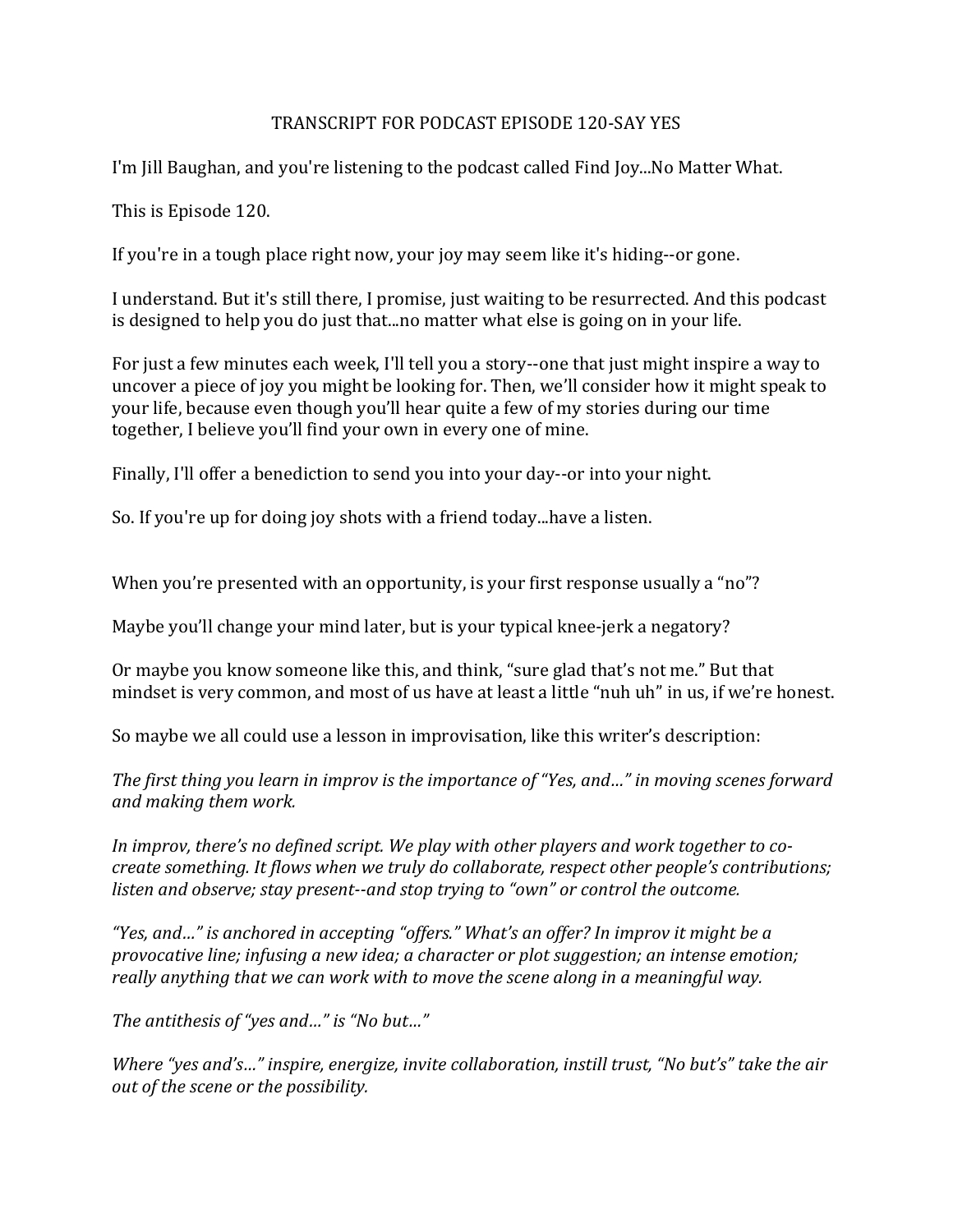## TRANSCRIPT FOR PODCAST EPISODE 120-SAY YES

I'm Jill Baughan, and you're listening to the podcast called Find Joy...No Matter What.

This is Episode 120.

If you're in a tough place right now, your joy may seem like it's hiding--or gone.

I understand. But it's still there, I promise, just waiting to be resurrected. And this podcast is designed to help you do just that...no matter what else is going on in your life.

For just a few minutes each week, I'll tell you a story--one that just might inspire a way to uncover a piece of joy you might be looking for. Then, we'll consider how it might speak to your life, because even though you'll hear quite a few of my stories during our time together, I believe you'll find your own in every one of mine.

Finally, I'll offer a benediction to send you into your day--or into your night.

So. If you're up for doing joy shots with a friend today...have a listen.

When you're presented with an opportunity, is your first response usually a "no"?

Maybe you'll change your mind later, but is your typical knee-jerk a negatory?

Or maybe you know someone like this, and think, "sure glad that's not me." But that mindset is very common, and most of us have at least a little "nuh uh" in us, if we're honest.

So maybe we all could use a lesson in improvisation, like this writer's description:

*The first thing you learn in improv is the importance of "Yes, and..." in moving scenes forward and making them work.*

In *improv, there's no defined script. We play with other players and work together to cocreate something. It flows when we truly do collaborate, respect other people's contributions; listen and observe; stay present--and stop trying to "own" or control the outcome.* 

"Yes, and..." is anchored in accepting "offers." What's an offer? In improv it might be a *provocative line; infusing a new idea; a character or plot suggestion; an intense emotion; really anything that we can work with to move the scene along in a meaningful way.* 

The antithesis of "yes and..." is "No but..."

*Where* "yes and's..." inspire, energize, invite collaboration, instill trust, "No but's" take the air *out of the scene or the possibility.*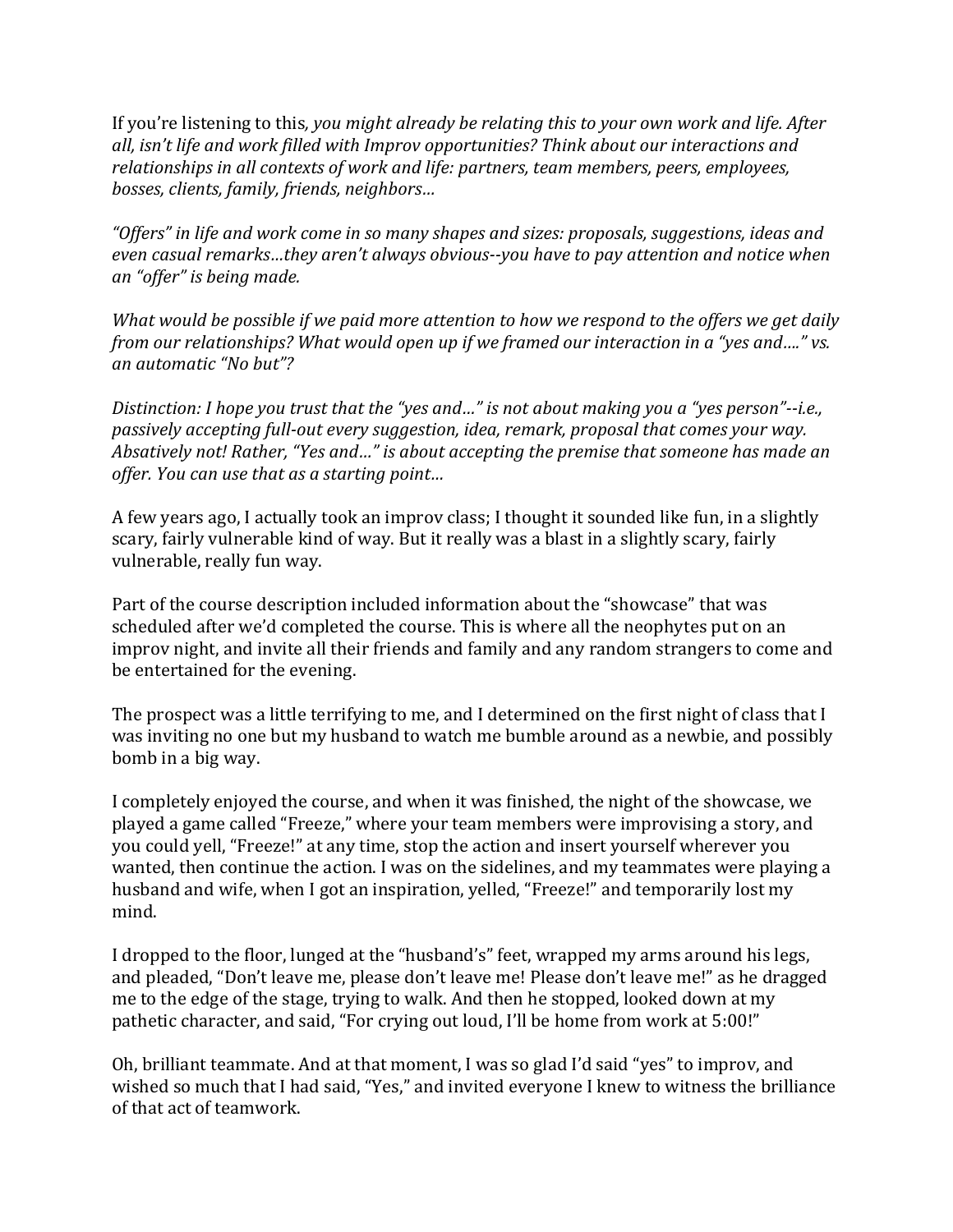If you're listening to this, you might already be relating this to your own work and life. After all, isn't life and work filled with Improv opportunities? Think about our interactions and *relationships* in all contexts of work and life: partners, team members, peers, employees, *bosses, clients, family, friends, neighbors…*

"Offers" in life and work come in so many shapes and sizes: proposals, suggestions, ideas and even casual remarks...they aren't always obvious--you have to pay attention and notice when *an "offer" is being made.*

*What* would be possible if we paid more attention to how we respond to the offers we get daily *from our relationships? What would open up if we framed our interaction in a "yes and...." vs. an automatic "No but"?*

*Distinction: I hope you trust that the "yes and..."* is not about making you a "yes person"--i.e., *passively accepting full-out every suggestion, idea, remark, proposal that comes your way. Absatively not!* Rather, "Yes and..." is about accepting the premise that someone has made an *offer. You can use that as a starting point…*

A few years ago, I actually took an improv class; I thought it sounded like fun, in a slightly scary, fairly vulnerable kind of way. But it really was a blast in a slightly scary, fairly vulnerable, really fun way.

Part of the course description included information about the "showcase" that was scheduled after we'd completed the course. This is where all the neophytes put on an improv night, and invite all their friends and family and any random strangers to come and be entertained for the evening.

The prospect was a little terrifying to me, and I determined on the first night of class that I was inviting no one but my husband to watch me bumble around as a newbie, and possibly bomb in a big way.

I completely enjoyed the course, and when it was finished, the night of the showcase, we played a game called "Freeze," where your team members were improvising a story, and you could yell, "Freeze!" at any time, stop the action and insert yourself wherever you wanted, then continue the action. I was on the sidelines, and my teammates were playing a husband and wife, when I got an inspiration, yelled, "Freeze!" and temporarily lost my mind.

I dropped to the floor, lunged at the "husband's" feet, wrapped my arms around his legs, and pleaded, "Don't leave me, please don't leave me! Please don't leave me!" as he dragged me to the edge of the stage, trying to walk. And then he stopped, looked down at my pathetic character, and said, "For crying out loud, I'll be home from work at 5:00!"

Oh, brilliant teammate. And at that moment, I was so glad I'd said "yes" to improv, and wished so much that I had said, "Yes," and invited everyone I knew to witness the brilliance of that act of teamwork.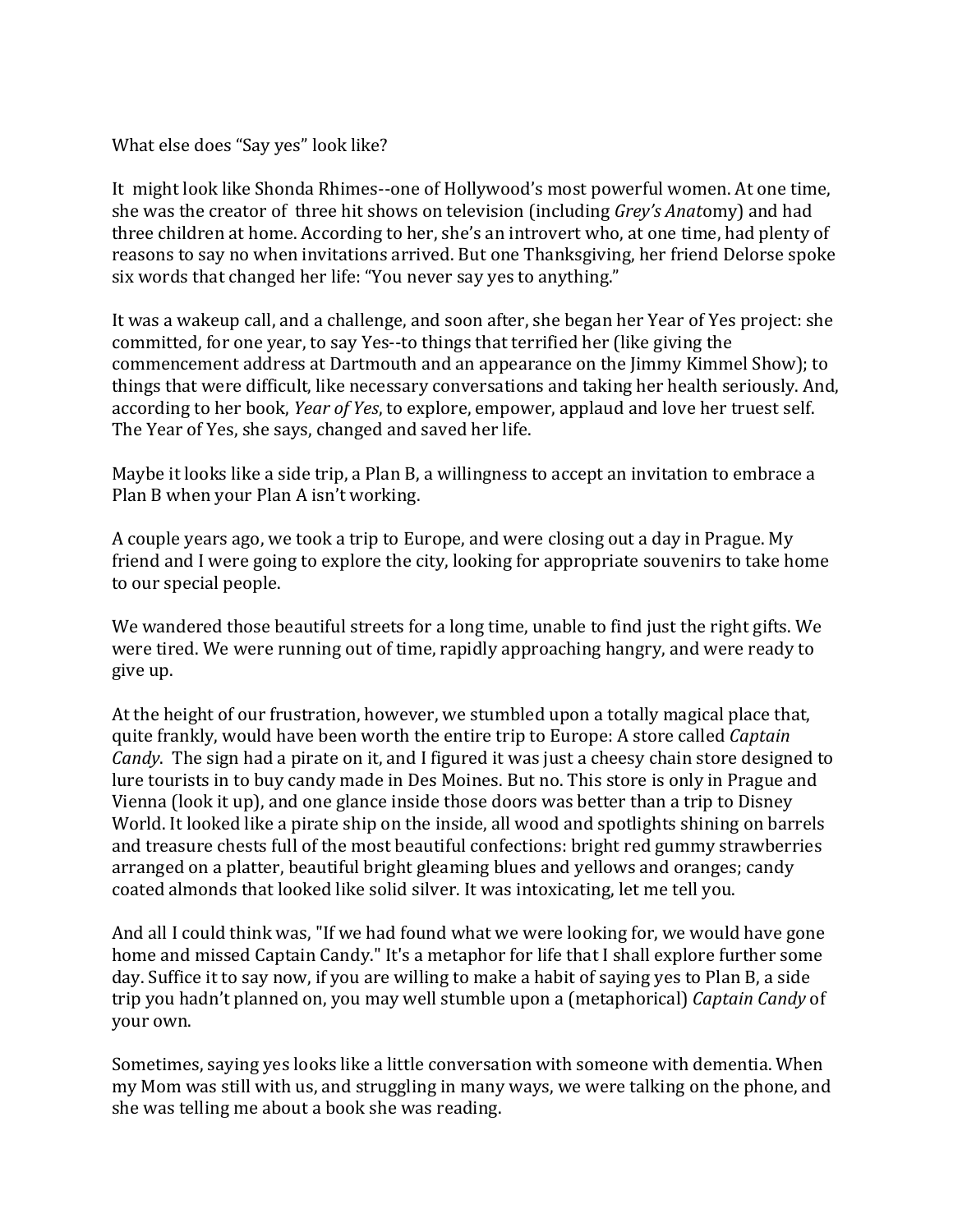What else does "Say yes" look like?

It might look like Shonda Rhimes--one of Hollywood's most powerful women. At one time, she was the creator of three hit shows on television (including *Grey's Anatomy*) and had three children at home. According to her, she's an introvert who, at one time, had plenty of reasons to say no when invitations arrived. But one Thanksgiving, her friend Delorse spoke six words that changed her life: "You never say yes to anything."

It was a wakeup call, and a challenge, and soon after, she began her Year of Yes project: she committed, for one year, to say Yes--to things that terrified her (like giving the commencement address at Dartmouth and an appearance on the Jimmy Kimmel Show); to things that were difficult, like necessary conversations and taking her health seriously. And, according to her book, *Year of Yes*, to explore, empower, applaud and love her truest self. The Year of Yes, she says, changed and saved her life.

Maybe it looks like a side trip, a Plan B, a willingness to accept an invitation to embrace a Plan B when your Plan A isn't working.

A couple years ago, we took a trip to Europe, and were closing out a day in Prague. My friend and I were going to explore the city, looking for appropriate souvenirs to take home to our special people.

We wandered those beautiful streets for a long time, unable to find just the right gifts. We were tired. We were running out of time, rapidly approaching hangry, and were ready to give up.

At the height of our frustration, however, we stumbled upon a totally magical place that, quite frankly, would have been worth the entire trip to Europe: A store called *Captain Candy*. The sign had a pirate on it, and I figured it was just a cheesy chain store designed to lure tourists in to buy candy made in Des Moines. But no. This store is only in Prague and Vienna (look it up), and one glance inside those doors was better than a trip to Disney World. It looked like a pirate ship on the inside, all wood and spotlights shining on barrels and treasure chests full of the most beautiful confections: bright red gummy strawberries arranged on a platter, beautiful bright gleaming blues and yellows and oranges; candy coated almonds that looked like solid silver. It was intoxicating, let me tell you.

And all I could think was, "If we had found what we were looking for, we would have gone home and missed Captain Candy." It's a metaphor for life that I shall explore further some day. Suffice it to say now, if you are willing to make a habit of saying yes to Plan B, a side trip you hadn't planned on, you may well stumble upon a (metaphorical) *Captain Candy* of your own.

Sometimes, saying yes looks like a little conversation with someone with dementia. When my Mom was still with us, and struggling in many ways, we were talking on the phone, and she was telling me about a book she was reading.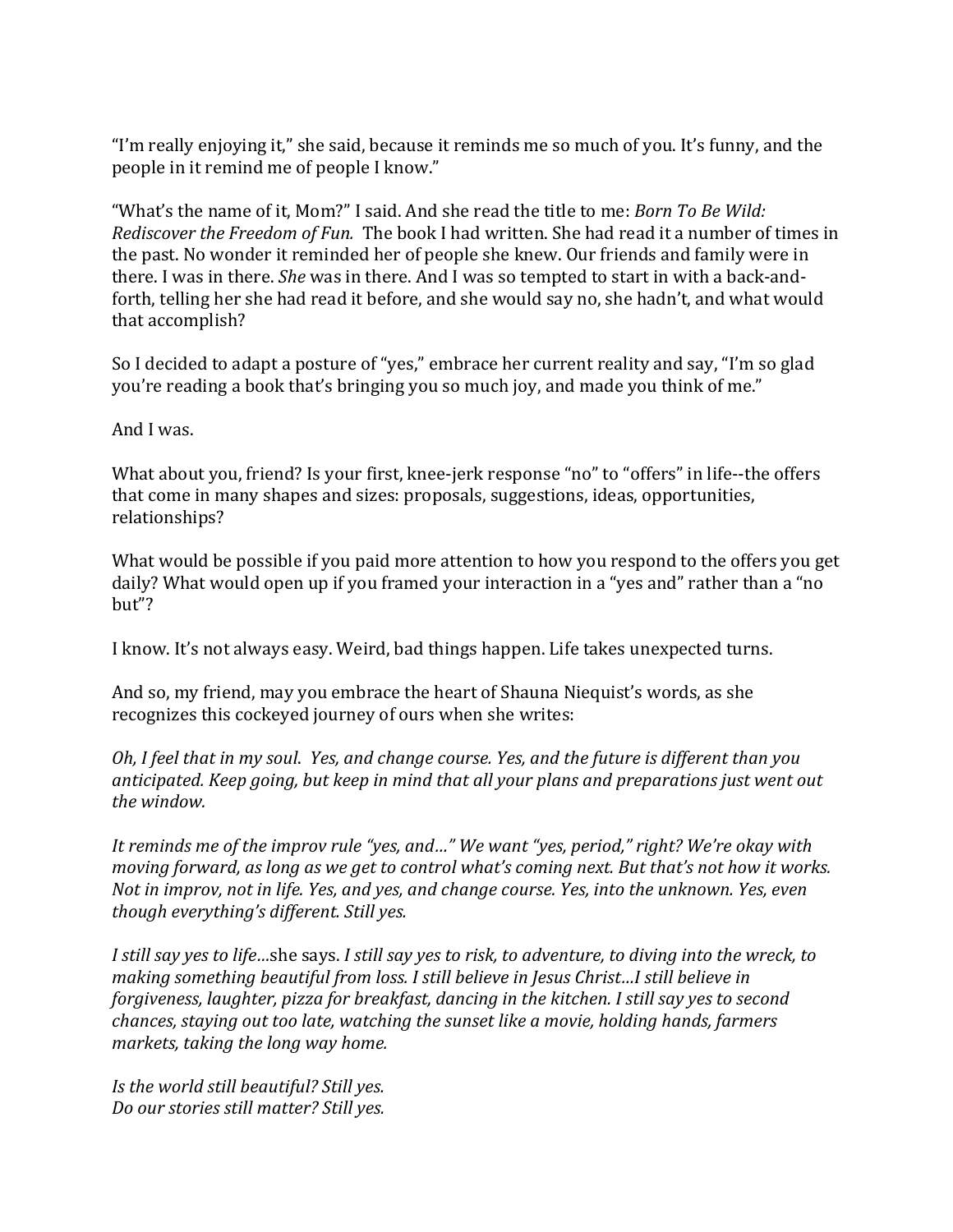"I'm really enjoying it," she said, because it reminds me so much of you. It's funny, and the people in it remind me of people I know."

"What's the name of it, Mom?" I said. And she read the title to me: *Born To Be Wild: Rediscover the Freedom of Fun.* The book I had written. She had read it a number of times in the past. No wonder it reminded her of people she knew. Our friends and family were in there. I was in there. *She* was in there. And I was so tempted to start in with a back-andforth, telling her she had read it before, and she would say no, she hadn't, and what would that accomplish?

So I decided to adapt a posture of "yes," embrace her current reality and say, "I'm so glad you're reading a book that's bringing you so much joy, and made you think of me."

And I was.

What about you, friend? Is your first, knee-jerk response "no" to "offers" in life--the offers that come in many shapes and sizes: proposals, suggestions, ideas, opportunities, relationships?

What would be possible if you paid more attention to how you respond to the offers you get daily? What would open up if you framed your interaction in a "yes and" rather than a "no but"?

I know. It's not always easy. Weird, bad things happen. Life takes unexpected turns.

And so, my friend, may you embrace the heart of Shauna Niequist's words, as she recognizes this cockeyed journey of ours when she writes:

*Oh, I feel that in my soul. Yes, and change course. Yes, and the future is different than you* anticipated. Keep going, but keep in mind that all your plans and preparations just went out the window.

*It reminds me of the improv rule "yes, and..."* We want "yes, period," right? We're okay with *moving forward, as long as we get to control what's coming next. But that's not how it works. Not in improv, not in life. Yes, and yes, and change course. Yes, into the unknown. Yes, even though everything's different. Still yes.* 

*I* still say yes to life...she says. I still say yes to risk, to adventure, to diving into the wreck, to *making something beautiful from loss. I still believe in Jesus Christ...I still believe in forgiveness, laughter, pizza for breakfast, dancing in the kitchen. I still say yes to second chances, staying out too late, watching the sunset like a movie, holding hands, farmers markets, taking the long way home.* 

*Is the world still beautiful? Still yes. Do our stories still matter? Still yes.*